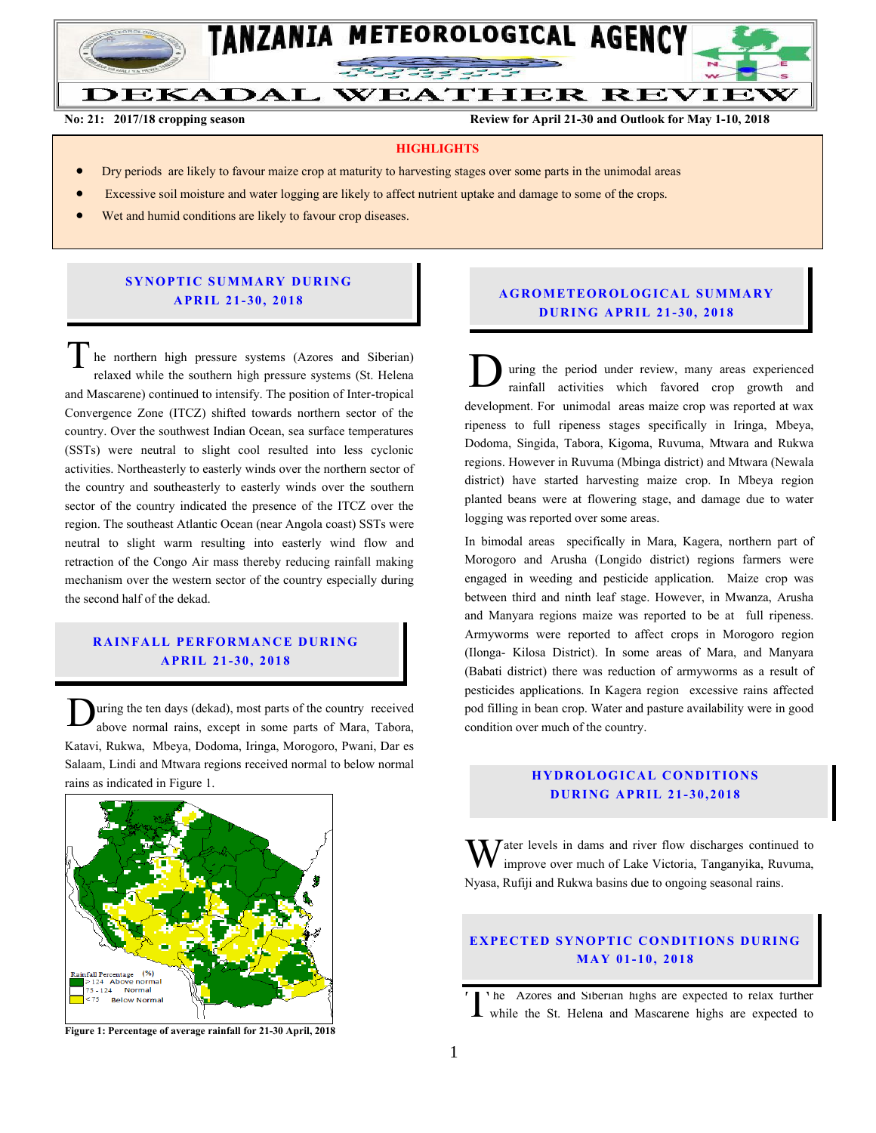

**No: 21: 2017/18 cropping season Review for April 21-30 and Outlook for May 1-10, 2018**

### **HIGHLIGHTS**

- Dry periods are likely to favour maize crop at maturity to harvesting stages over some parts in the unimodal areas
- Excessive soil moisture and water logging are likely to affect nutrient uptake and damage to some of the crops.
- Wet and humid conditions are likely to favour crop diseases.

## **SYNOPTIC SUMMARY DURING A PR IL 21- 30, 201 8**

he northern high pressure systems (Azores and Siberian) relaxed while the southern high pressure systems (St. Helena and Mascarene) continued to intensify. The position of Inter-tropical Convergence Zone (ITCZ) shifted towards northern sector of the country. Over the southwest Indian Ocean, sea surface temperatures (SSTs) were neutral to slight cool resulted into less cyclonic activities. Northeasterly to easterly winds over the northern sector of the country and southeasterly to easterly winds over the southern sector of the country indicated the presence of the ITCZ over the region. The southeast Atlantic Ocean (near Angola coast) SSTs were neutral to slight warm resulting into easterly wind flow and retraction of the Congo Air mass thereby reducing rainfall making mechanism over the western sector of the country especially during the second half of the dekad. T he northern high pressure systems (Azores and Siberian)<br>relaxed while the southern high pressure systems (St. Helena<br>and Mascarene) continued to intensify. The position of Inter-tropical

# **RAINFALL PERFORMANCE DURING A PR IL 21- 30, 201 8**

uring the ten days (dekad), most parts of the country received above normal rains, except in some parts of Mara, Tabora, Katavi, Rukwa, Mbeya, Dodoma, Iringa, Morogoro, Pwani, Dar es Salaam, Lindi and Mtwara regions received normal to below normal rains as indicated in Figure 1. D



**Figure 1: Percentage of average rainfall for 21-30 April, 2018**

# **A G RO METEO R O LOG ICA L SU MMA RY D UR ING A PR IL 21- 30 , 2018**

uring the period under review, many areas experienced rainfall activities which favored crop growth and development. For unimodal areas maize crop was reported at wax ripeness to full ripeness stages specifically in Iringa, Mbeya, Dodoma, Singida, Tabora, Kigoma, Ruvuma, Mtwara and Rukwa regions. However in Ruvuma (Mbinga district) and Mtwara (Newala district) have started harvesting maize crop. In Mbeya region planted beans were at flowering stage, and damage due to water logging was reported over some areas.

In bimodal areas specifically in Mara, Kagera, northern part of Morogoro and Arusha (Longido district) regions farmers were engaged in weeding and pesticide application. Maize crop was between third and ninth leaf stage. However, in Mwanza, Arusha and Manyara regions maize was reported to be at full ripeness. Armyworms were reported to affect crops in Morogoro region (Ilonga- Kilosa District). In some areas of Mara, and Manyara (Babati district) there was reduction of armyworms as a result of pesticides applications. In Kagera region excessive rains affected pod filling in bean crop. Water and pasture availability were in good condition over much of the country.

# **HYDROLOGICAL CONDITIONS D UR ING A PR IL 21- 3 0, 2018**

 $\bar{J}$  ater levels in dams and river flow discharges continued to improve over much of Lake Victoria, Tanganyika, Ruvuma, Nyasa, Rufiji and Rukwa basins due to ongoing seasonal rains. W

## **EXPECTED SYNOPTIC CONDITIONS DURING MA Y 01- 10, 201 8**

he Azores and Siberian highs are expected to relax further The Azores and Siberian highs are expected to relax further<br>while the St. Helena and Mascarene highs are expected to